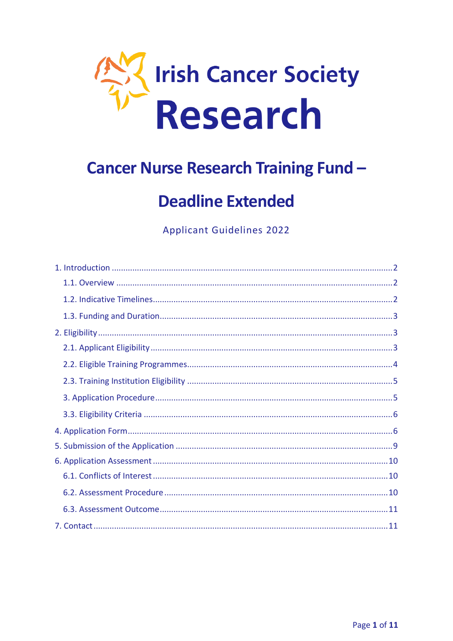

# **Cancer Nurse Research Training Fund -**

# **Deadline Extended**

**Applicant Guidelines 2022**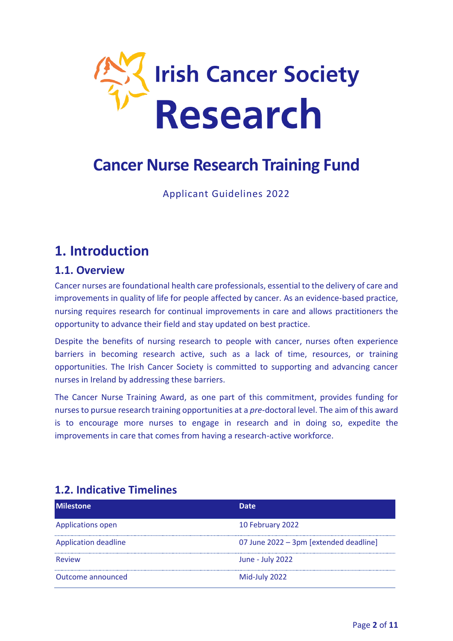

# **Cancer Nurse Research Training Fund**

Applicant Guidelines 2022

## <span id="page-1-0"></span>**1. Introduction**

## <span id="page-1-1"></span>**1.1. Overview**

Cancer nurses are foundational health care professionals, essential to the delivery of care and improvements in quality of life for people affected by cancer. As an evidence-based practice, nursing requires research for continual improvements in care and allows practitioners the opportunity to advance their field and stay updated on best practice.

Despite the benefits of nursing research to people with cancer, nurses often experience barriers in becoming research active, such as a lack of time, resources, or training opportunities. The Irish Cancer Society is committed to supporting and advancing cancer nurses in Ireland by addressing these barriers.

The Cancer Nurse Training Award, as one part of this commitment, provides funding for nurses to pursue research training opportunities at a *pre*-doctoral level. The aim of this award is to encourage more nurses to engage in research and in doing so, expedite the improvements in care that comes from having a research-active workforce.

| <b>Milestone</b>            | Date                                   |
|-----------------------------|----------------------------------------|
| Applications open           | 10 February 2022                       |
| <b>Application deadline</b> | 07 June 2022 - 3pm [extended deadline] |
| <b>Review</b>               | June - July 2022                       |
| Outcome announced           | Mid-July 2022                          |

## <span id="page-1-2"></span>**1.2. Indicative Timelines**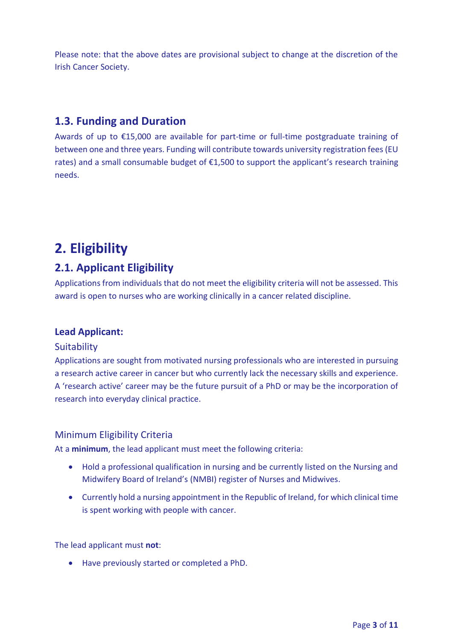Please note: that the above dates are provisional subject to change at the discretion of the Irish Cancer Society.

## <span id="page-2-0"></span>**1.3. Funding and Duration**

Awards of up to €15,000 are available for part-time or full-time postgraduate training of between one and three years. Funding will contribute towards university registration fees (EU rates) and a small consumable budget of €1,500 to support the applicant's research training needs.

## <span id="page-2-1"></span>**2. Eligibility**

## <span id="page-2-2"></span>**2.1. Applicant Eligibility**

Applications from individuals that do not meet the eligibility criteria will not be assessed. This award is open to nurses who are working clinically in a cancer related discipline.

### **Lead Applicant:**

#### **Suitability**

Applications are sought from motivated nursing professionals who are interested in pursuing a research active career in cancer but who currently lack the necessary skills and experience. A 'research active' career may be the future pursuit of a PhD or may be the incorporation of research into everyday clinical practice.

#### Minimum Eligibility Criteria

At a **minimum**, the lead applicant must meet the following criteria:

- Hold a professional qualification in nursing and be currently listed on the Nursing and Midwifery Board of Ireland's (NMBI) register of Nurses and Midwives.
- Currently hold a nursing appointment in the Republic of Ireland, for which clinical time is spent working with people with cancer.

The lead applicant must **not**:

Have previously started or completed a PhD.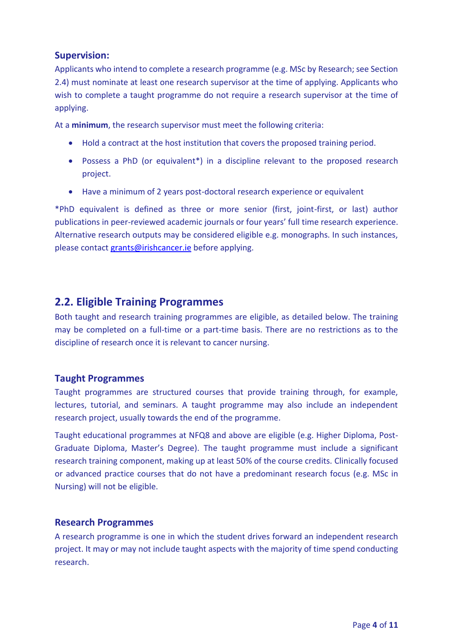### **Supervision:**

Applicants who intend to complete a research programme (e.g. MSc by Research; see Section 2.4) must nominate at least one research supervisor at the time of applying. Applicants who wish to complete a taught programme do not require a research supervisor at the time of applying.

At a **minimum**, the research supervisor must meet the following criteria:

- Hold a contract at the host institution that covers the proposed training period.
- Possess a PhD (or equivalent\*) in a discipline relevant to the proposed research project.
- Have a minimum of 2 years post-doctoral research experience or equivalent

\*PhD equivalent is defined as three or more senior (first, joint-first, or last) author publications in peer-reviewed academic journals or four years' full time research experience. Alternative research outputs may be considered eligible e.g. monographs. In such instances, please contact [grants@irishcancer.ie](mailto:grants@irishcancer.ie) before applying.

## <span id="page-3-0"></span>**2.2. Eligible Training Programmes**

Both taught and research training programmes are eligible, as detailed below. The training may be completed on a full-time or a part-time basis. There are no restrictions as to the discipline of research once it is relevant to cancer nursing.

#### **Taught Programmes**

Taught programmes are structured courses that provide training through, for example, lectures, tutorial, and seminars. A taught programme may also include an independent research project, usually towards the end of the programme.

Taught educational programmes at NFQ8 and above are eligible (e.g. Higher Diploma, Post-Graduate Diploma, Master's Degree). The taught programme must include a significant research training component, making up at least 50% of the course credits. Clinically focused or advanced practice courses that do not have a predominant research focus (e.g. MSc in Nursing) will not be eligible.

#### **Research Programmes**

A research programme is one in which the student drives forward an independent research project. It may or may not include taught aspects with the majority of time spend conducting research.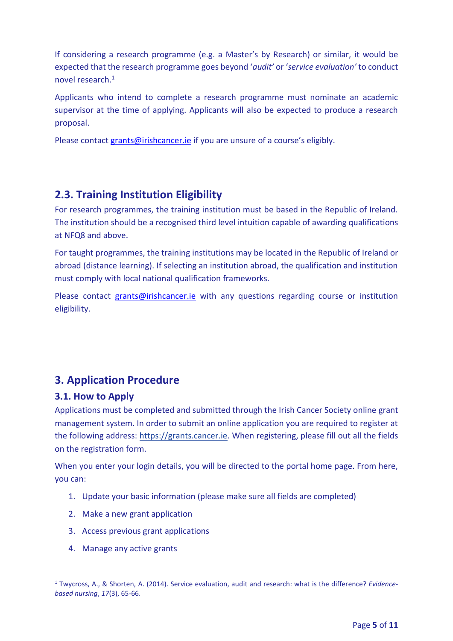If considering a research programme (e.g. a Master's by Research) or similar, it would be expected that the research programme goes beyond '*audit'* or '*service evaluation'* to conduct novel research.<sup>1</sup>

Applicants who intend to complete a research programme must nominate an academic supervisor at the time of applying. Applicants will also be expected to produce a research proposal.

Please contact [grants@irishcancer.ie](mailto:grants@irishcancer.ie) if you are unsure of a course's eligibly.

## <span id="page-4-0"></span>**2.3. Training Institution Eligibility**

For research programmes, the training institution must be based in the Republic of Ireland. The institution should be a recognised third level intuition capable of awarding qualifications at NFQ8 and above.

For taught programmes, the training institutions may be located in the Republic of Ireland or abroad (distance learning). If selecting an institution abroad, the qualification and institution must comply with local national qualification frameworks.

Please contact [grants@irishcancer.ie](mailto:grants@irishcancer.ie) with any questions regarding course or institution eligibility.

## <span id="page-4-1"></span>**3. Application Procedure**

#### **3.1. How to Apply**

Applications must be completed and submitted through the Irish Cancer Society online grant management system. In order to submit an online application you are required to register at the following address: [https://grants.cancer.ie.](https://grants.cancer.ie/) When registering, please fill out all the fields on the registration form.

When you enter your login details, you will be directed to the portal home page. From here, you can:

- 1. Update your basic information (please make sure all fields are completed)
- 2. Make a new grant application
- 3. Access previous grant applications
- 4. Manage any active grants

j

<sup>1</sup> Twycross, A., & Shorten, A. (2014). Service evaluation, audit and research: what is the difference? *Evidencebased nursing*, *17*(3), 65-66.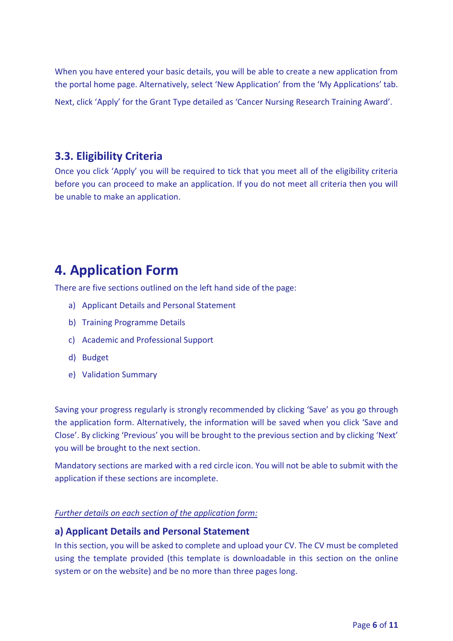When you have entered your basic details, you will be able to create a new application from the portal home page. Alternatively, select 'New Application' from the 'My Applications' tab.

Next, click 'Apply' for the Grant Type detailed as 'Cancer Nursing Research Training Award'.

### <span id="page-5-0"></span>**3.3. Eligibility Criteria**

Once you click 'Apply' you will be required to tick that you meet all of the eligibility criteria before you can proceed to make an application. If you do not meet all criteria then you will be unable to make an application.

## <span id="page-5-1"></span>**4. Application Form**

There are five sections outlined on the left hand side of the page:

- a) Applicant Details and Personal Statement
- b) Training Programme Details
- c) Academic and Professional Support
- d) Budget
- e) Validation Summary

Saving your progress regularly is strongly recommended by clicking 'Save' as you go through the application form. Alternatively, the information will be saved when you click 'Save and Close'. By clicking 'Previous' you will be brought to the previous section and by clicking 'Next' you will be brought to the next section.

Mandatory sections are marked with a red circle icon. You will not be able to submit with the application if these sections are incomplete.

#### *Further details on each section of the application form:*

#### **a) Applicant Details and Personal Statement**

In this section, you will be asked to complete and upload your CV. The CV must be completed using the template provided (this template is downloadable in this section on the online system or on the website) and be no more than three pages long.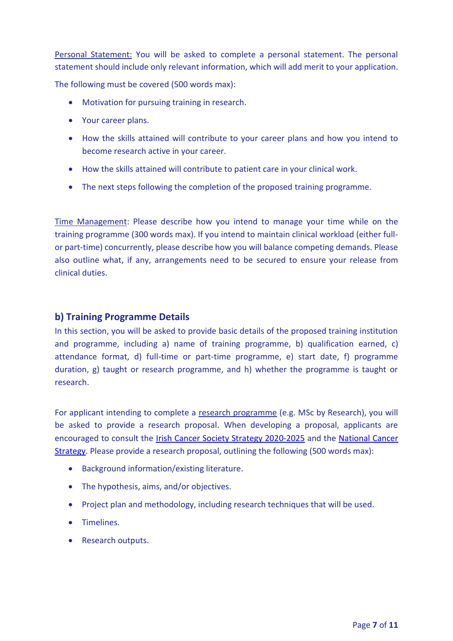Personal Statement: You will be asked to complete a personal statement. The personal statement should include only relevant information, which will add merit to your application.

The following must be covered (500 words max):

- Motivation for pursuing training in research.
- Your career plans.
- How the skills attained will contribute to your career plans and how you intend to become research active in your career.
- How the skills attained will contribute to patient care in your clinical work.
- The next steps following the completion of the proposed training programme.

Time Management: Please describe how you intend to manage your time while on the training programme (300 words max). If you intend to maintain clinical workload (either fullor part-time) concurrently, please describe how you will balance competing demands. Please also outline what, if any, arrangements need to be secured to ensure your release from clinical duties.

#### **b) Training Programme Details**

In this section, you will be asked to provide basic details of the proposed training institution and programme, including a) name of training programme, b) qualification earned, c) attendance format, d) full-time or part-time programme, e) start date, f) programme duration, g) taught or research programme, and h) whether the programme is taught or research.

For applicant intending to complete a research programme (e.g. MSc by Research), you will be asked to provide a research proposal. When developing a proposal, applicants are encouraged to consult the [Irish Cancer Society Strategy 2020-2025](https://www.cancer.ie/about-us/irish-cancer-society-strategy-2020-2025) and the [National Cancer](https://assets.gov.ie/9315/6f1592a09583421baa87de3a7e9cb619.pdf)  [Strategy.](https://assets.gov.ie/9315/6f1592a09583421baa87de3a7e9cb619.pdf) Please provide a research proposal, outlining the following (500 words max):

- Background information/existing literature.
- The hypothesis, aims, and/or objectives.
- Project plan and methodology, including research techniques that will be used.
- **•** Timelines.
- Research outputs.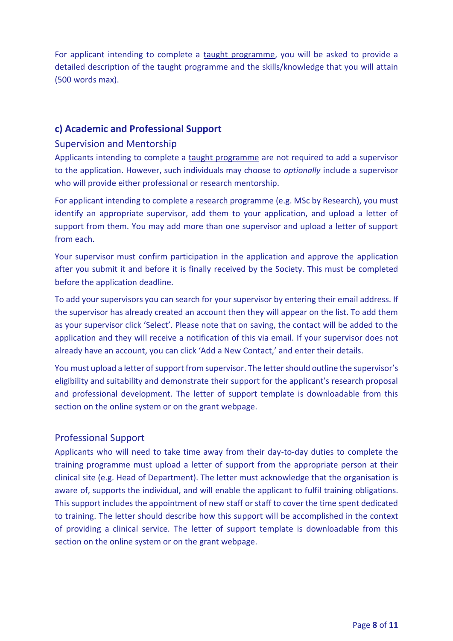For applicant intending to complete a taught programme, you will be asked to provide a detailed description of the taught programme and the skills/knowledge that you will attain (500 words max).

### **c) Academic and Professional Support**

#### Supervision and Mentorship

Applicants intending to complete a taught programme are not required to add a supervisor to the application. However, such individuals may choose to *optionally* include a supervisor who will provide either professional or research mentorship.

For applicant intending to complete a research programme (e.g. MSc by Research), you must identify an appropriate supervisor, add them to your application, and upload a letter of support from them. You may add more than one supervisor and upload a letter of support from each.

Your supervisor must confirm participation in the application and approve the application after you submit it and before it is finally received by the Society. This must be completed before the application deadline.

To add your supervisors you can search for your supervisor by entering their email address. If the supervisor has already created an account then they will appear on the list. To add them as your supervisor click 'Select'. Please note that on saving, the contact will be added to the application and they will receive a notification of this via email. If your supervisor does not already have an account, you can click 'Add a New Contact,' and enter their details.

You must upload a letter of support from supervisor. The letter should outline the supervisor's eligibility and suitability and demonstrate their support for the applicant's research proposal and professional development. The letter of support template is downloadable from this section on the online system or on the grant webpage.

#### Professional Support

Applicants who will need to take time away from their day-to-day duties to complete the training programme must upload a letter of support from the appropriate person at their clinical site (e.g. Head of Department). The letter must acknowledge that the organisation is aware of, supports the individual, and will enable the applicant to fulfil training obligations. This support includes the appointment of new staff or staff to cover the time spent dedicated to training. The letter should describe how this support will be accomplished in the context of providing a clinical service. The letter of support template is downloadable from this section on the online system or on the grant webpage.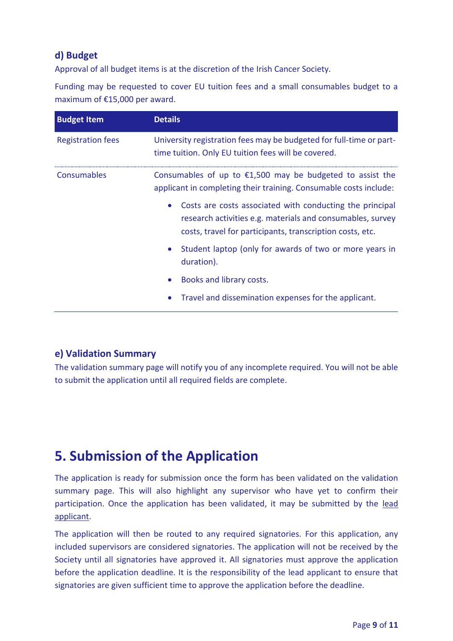## **d) Budget**

Approval of all budget items is at the discretion of the Irish Cancer Society.

Funding may be requested to cover EU tuition fees and a small consumables budget to a maximum of €15,000 per award.

| <b>Budget Item</b>       | <b>Details</b>                                                                                                                                                                      |
|--------------------------|-------------------------------------------------------------------------------------------------------------------------------------------------------------------------------------|
| <b>Registration fees</b> | University registration fees may be budgeted for full-time or part-<br>time tuition. Only EU tuition fees will be covered.                                                          |
| Consumables              | Consumables of up to $£1,500$ may be budgeted to assist the<br>applicant in completing their training. Consumable costs include:                                                    |
|                          | Costs are costs associated with conducting the principal<br>research activities e.g. materials and consumables, survey<br>costs, travel for participants, transcription costs, etc. |
|                          | Student laptop (only for awards of two or more years in<br>duration).                                                                                                               |
|                          | Books and library costs.                                                                                                                                                            |
|                          | Travel and dissemination expenses for the applicant.                                                                                                                                |

### **e) Validation Summary**

The validation summary page will notify you of any incomplete required. You will not be able to submit the application until all required fields are complete.

## <span id="page-8-0"></span>**5. Submission of the Application**

The application is ready for submission once the form has been validated on the validation summary page. This will also highlight any supervisor who have yet to confirm their participation. Once the application has been validated, it may be submitted by the lead applicant.

The application will then be routed to any required signatories. For this application, any included supervisors are considered signatories. The application will not be received by the Society until all signatories have approved it. All signatories must approve the application before the application deadline. It is the responsibility of the lead applicant to ensure that signatories are given sufficient time to approve the application before the deadline.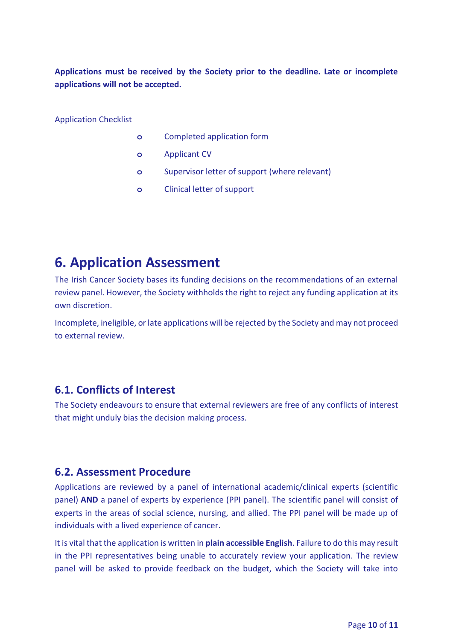**Applications must be received by the Society prior to the deadline. Late or incomplete applications will not be accepted.** 

Application Checklist

- **o** Completed application form
- **o** Applicant CV
- **o** Supervisor letter of support (where relevant)
- **o** Clinical letter of support

## <span id="page-9-0"></span>**6. Application Assessment**

The Irish Cancer Society bases its funding decisions on the recommendations of an external review panel. However, the Society withholds the right to reject any funding application at its own discretion.

Incomplete, ineligible, or late applications will be rejected by the Society and may not proceed to external review.

## <span id="page-9-1"></span>**6.1. Conflicts of Interest**

The Society endeavours to ensure that external reviewers are free of any conflicts of interest that might unduly bias the decision making process.

### <span id="page-9-2"></span>**6.2. Assessment Procedure**

Applications are reviewed by a panel of international academic/clinical experts (scientific panel) **AND** a panel of experts by experience (PPI panel). The scientific panel will consist of experts in the areas of social science, nursing, and allied. The PPI panel will be made up of individuals with a lived experience of cancer.

It is vital that the application is written in **plain accessible English**. Failure to do this may result in the PPI representatives being unable to accurately review your application. The review panel will be asked to provide feedback on the budget, which the Society will take into